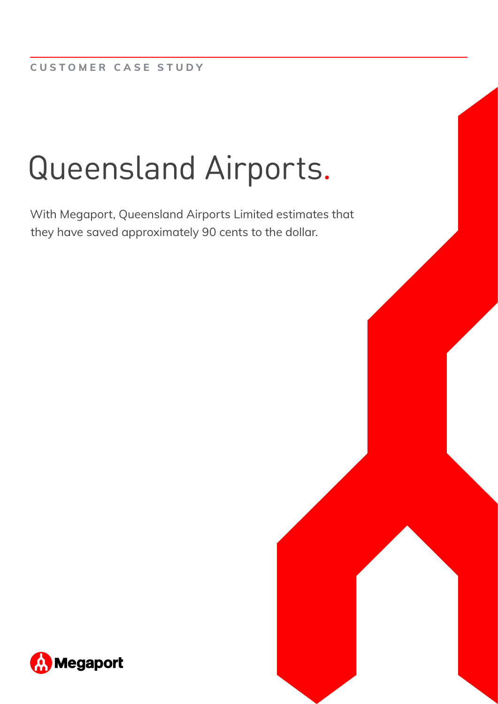# Queensland Airports.

With Megaport, Queensland Airports Limited estimates that they have saved approximately 90 cents to the dollar.

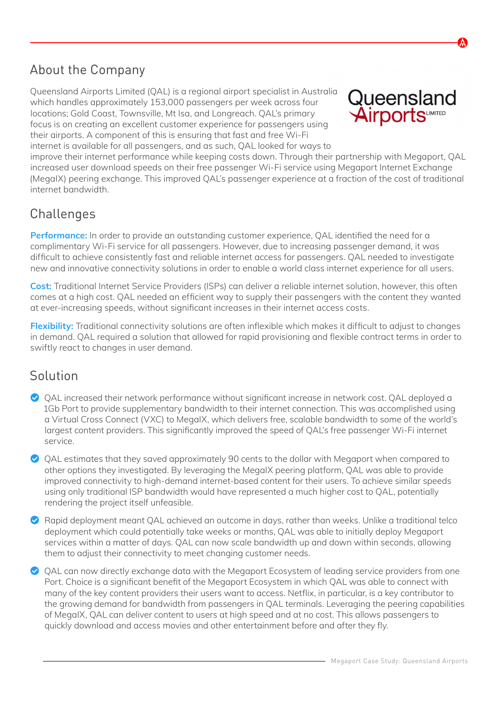## About the Company

Queensland Airports Limited (QAL) is a regional airport specialist in Australia which handles approximately 153,000 passengers per week across four locations; Gold Coast, Townsville, Mt Isa, and Longreach. QAL's primary focus is on creating an excellent customer experience for passengers using their airports. A component of this is ensuring that fast and free Wi-Fi internet is available for all passengers, and as such, QAL looked for ways to



improve their internet performance while keeping costs down. Through their partnership with Megaport, QAL increased user download speeds on their free passenger Wi-Fi service using Megaport Internet Exchange (MegaIX) peering exchange. This improved QAL's passenger experience at a fraction of the cost of traditional internet bandwidth.

# **Challenges**

**Performance:** In order to provide an outstanding customer experience, QAL identified the need for a complimentary Wi-Fi service for all passengers. However, due to increasing passenger demand, it was difficult to achieve consistently fast and reliable internet access for passengers. QAL needed to investigate new and innovative connectivity solutions in order to enable a world class internet experience for all users.

**Cost:** Traditional Internet Service Providers (ISPs) can deliver a reliable internet solution, however, this often comes at a high cost. QAL needed an efficient way to supply their passengers with the content they wanted at ever-increasing speeds, without significant increases in their internet access costs.

**Flexibility:** Traditional connectivity solutions are often inflexible which makes it difficult to adjust to changes in demand. QAL required a solution that allowed for rapid provisioning and flexible contract terms in order to swiftly react to changes in user demand.

#### Solution

- QAL increased their network performance without significant increase in network cost. QAL deployed a 1Gb Port to provide supplementary bandwidth to their internet connection. This was accomplished using a Virtual Cross Connect (VXC) to MegaIX, which delivers free, scalable bandwidth to some of the world's largest content providers. This significantly improved the speed of QAL's free passenger Wi-Fi internet service.
- QAL estimates that they saved approximately 90 cents to the dollar with Megaport when compared to other options they investigated. By leveraging the MegaIX peering platform, QAL was able to provide improved connectivity to high-demand internet-based content for their users. To achieve similar speeds using only traditional ISP bandwidth would have represented a much higher cost to QAL, potentially rendering the project itself unfeasible.
- ◆ Rapid deployment meant QAL achieved an outcome in days, rather than weeks. Unlike a traditional telco deployment which could potentially take weeks or months, QAL was able to initially deploy Megaport services within a matter of days. QAL can now scale bandwidth up and down within seconds, allowing them to adjust their connectivity to meet changing customer needs.
- ◆ QAL can now directly exchange data with the Megaport Ecosystem of leading service providers from one Port. Choice is a significant benefit of the Megaport Ecosystem in which QAL was able to connect with many of the key content providers their users want to access. Netflix, in particular, is a key contributor to the growing demand for bandwidth from passengers in QAL terminals. Leveraging the peering capabilities of MegaIX, QAL can deliver content to users at high speed and at no cost. This allows passengers to quickly download and access movies and other entertainment before and after they fly.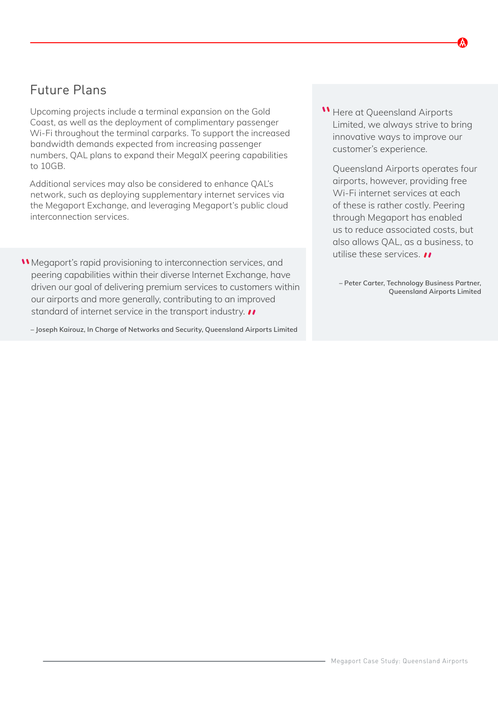### Future Plans

Upcoming projects include a terminal expansion on the Gold Coast, as well as the deployment of complimentary passenger Wi-Fi throughout the terminal carparks. To support the increased bandwidth demands expected from increasing passenger numbers, QAL plans to expand their MegaIX peering capabilities to 10GB.

Additional services may also be considered to enhance QAL's network, such as deploying supplementary internet services via the Megaport Exchange, and leveraging Megaport's public cloud interconnection services.

Megaport's rapid provisioning to interconnection services, and peering capabilities within their diverse Internet Exchange, have driven our goal of delivering premium services to customers within our airports and more generally, contributing to an improved standard of internet service in the transport industry.  $\prime\prime$ 

**– Joseph Kairouz, In Charge of Networks and Security, Queensland Airports Limited**

**W** Here at Queensland Airports Limited, we always strive to bring innovative ways to improve our customer's experience.

Queensland Airports operates four airports, however, providing free Wi-Fi internet services at each of these is rather costly. Peering through Megaport has enabled us to reduce associated costs, but also allows QAL, as a business, to utilise these services. *II* 

**– Peter Carter, Technology Business Partner, Queensland Airports Limited**